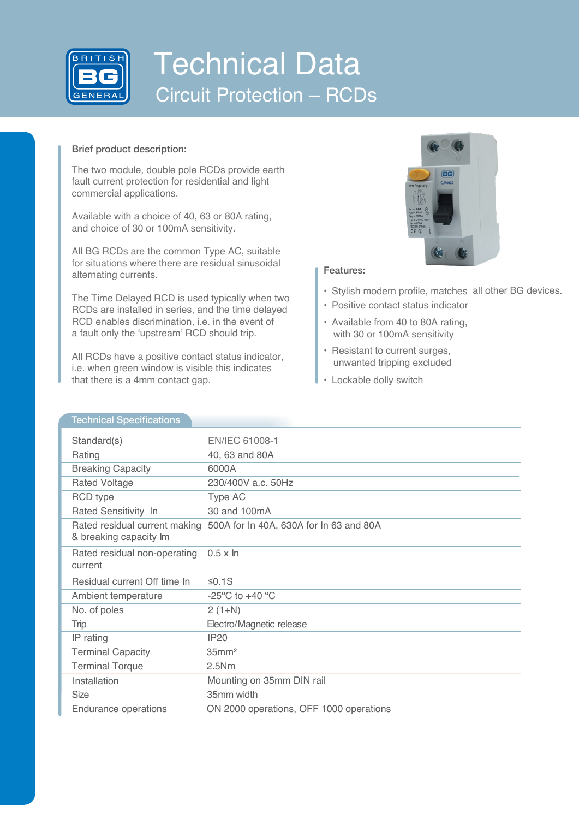

# Technical Data Circuit Protection – RCDs

### Brief product description:

The two module, double pole RCDs provide earth fault current protection for residential and light commercial applications.

Available with a choice of 40, 63 or 80A rating, and choice of 30 or 100mA sensitivity.

All BG RCDs are the common Type AC, suitable for situations where there are residual sinusoidal alternating currents.

The Time Delayed RCD is used typically when two RCDs are installed in series, and the time delayed RCD enables discrimination, i.e. in the event of a fault only the 'upstream' RCD should trip.

All RCDs have a positive contact status indicator, i.e. when green window is visible this indicates that there is a 4mm contact gap.



### Features:

- Stylish modern profile, matches all other BG devices.
- Positive contact status indicator
- Available from 40 to 80A rating, with 30 or 100mA sensitivity
- Resistant to current surges, unwanted tripping excluded
- Lockable dolly switch

### **Technical Specifications**

| Standard(s)                             | EN/IEC 61008-1                                                        |
|-----------------------------------------|-----------------------------------------------------------------------|
| Rating                                  | 40, 63 and 80A                                                        |
| <b>Breaking Capacity</b>                | 6000A                                                                 |
| <b>Rated Voltage</b>                    | 230/400V a.c. 50Hz                                                    |
| <b>RCD</b> type                         | Type AC                                                               |
| Rated Sensitivity In                    | 30 and 100mA                                                          |
| & breaking capacity Im                  | Rated residual current making 500A for In 40A, 630A for In 63 and 80A |
| Rated residual non-operating<br>current | $0.5 \times \ln$                                                      |
| Residual current Off time In            | ≤0.1S                                                                 |
| Ambient temperature                     | $-25^{\circ}$ C to $+40^{\circ}$ C                                    |
| No. of poles                            | $2(1+N)$                                                              |
| Trip                                    | Electro/Magnetic release                                              |
| IP rating                               | <b>IP20</b>                                                           |
| <b>Terminal Capacity</b>                | $35$ mm <sup>2</sup>                                                  |
| <b>Terminal Torque</b>                  | 2.5Nm                                                                 |
| Installation                            | Mounting on 35mm DIN rail                                             |
| <b>Size</b>                             | 35mm width                                                            |
| Endurance operations                    | ON 2000 operations, OFF 1000 operations                               |